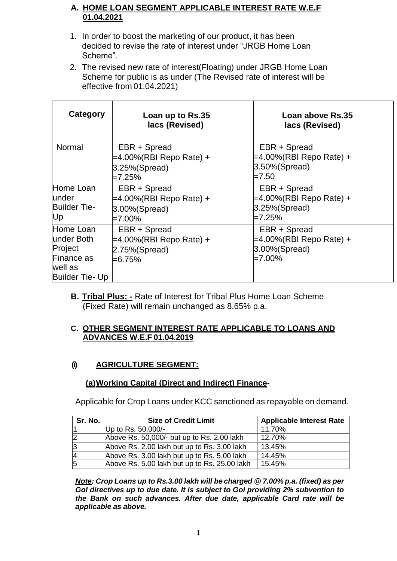### **A. HOME LOAN SEGMENT APPLICABLE INTEREST RATE W.E.F 01.04.2021**

- 1. In order to boost the marketing of our product, it has been decided to revise the rate of interest under "JRGB Home Loan Scheme".
- 2. The revised new rate of interest(Floating) under JRGB Home Loan Scheme for public is as under (The Revised rate of interest will be effective from 01.04.2021)

| Category                                                                        | Loan up to Rs.35<br>lacs (Revised)                                         | Loan above Rs.35<br>lacs (Revised)                                        |
|---------------------------------------------------------------------------------|----------------------------------------------------------------------------|---------------------------------------------------------------------------|
| Normal                                                                          | EBR + Spread<br>=4.00%(RBI Repo Rate) +<br>$ 3.25\%$ (Spread)<br>$=7.25\%$ | EBR + Spread<br>=4.00%(RBI Repo Rate) +<br>$3.50\%$ (Spread)<br>$=7.50$   |
| Home Loan<br>lunder<br><b>Builder Tie-</b><br>Up                                | EBR + Spread<br>=4.00%(RBI Repo Rate) +<br>$ 3.00\%$ (Spread)<br>$=7.00\%$ | EBR + Spread<br>=4.00%(RBI Repo Rate) +<br>$3.25\%$ (Spread)<br>$=7.25\%$ |
| Home Loan<br>lunder Both<br>Project<br>Finance as<br>well as<br>Builder Tie- Up | EBR + Spread<br>=4.00%(RBI Repo Rate) +<br>$2.75\%$ (Spread)<br>$= 6.75%$  | EBR + Spread<br>=4.00%(RBI Repo Rate) +<br>3.00%(Spread)<br>$=7.00\%$     |

**B. Tribal Plus: -** Rate of Interest for Tribal Plus Home Loan Scheme (Fixed Rate) will remain unchanged as 8.65% p.a.

#### **C. OTHER SEGMENT INTEREST RATE APPLICABLE TO LOANS AND ADVANCES W.E.F 01.04.2019**

# **(i) AGRICULTURE SEGMENT:**

# **(a)Working Capital (Direct and Indirect) Finance-**

Applicable for Crop Loans under KCC sanctioned as repayable on demand.

| Sr. No.        | <b>Size of Credit Limit</b>                  | <b>Applicable Interest Rate</b> |
|----------------|----------------------------------------------|---------------------------------|
|                | Up to Rs. 50,000/-                           | 11.70%                          |
| $\overline{2}$ | Above Rs. 50,000/- but up to Rs. 2.00 lakh   | 12.70%                          |
| 3              | Above Rs. 2.00 lakh but up to Rs. 3.00 lakh  | 13.45%                          |
| $\overline{A}$ | Above Rs. 3.00 lakh but up to Rs. 5.00 lakh  | 14.45%                          |
| 5              | Above Rs. 5.00 lakh but up to Rs. 25.00 lakh | 15.45%                          |

*Note: Crop Loans up to Rs.3.00 lakh will be charged @ 7.00% p.a. (fixed) as per GoI directives up to due date. It is subject to GoI providing 2% subvention to the Bank on such advances. After due date, applicable Card rate will be applicable as above.*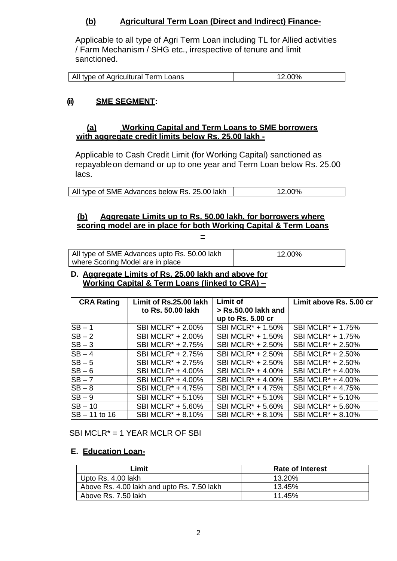### **(b) Agricultural Term Loan (Direct and Indirect) Finance-**

Applicable to all type of Agri Term Loan including TL for Allied activities / Farm Mechanism / SHG etc., irrespective of tenure and limit sanctioned.

| All type of Agricultural Term Loans | 2.00% |
|-------------------------------------|-------|

### **(ii) SME SEGMENT:**

#### **(a) Working Capital and Term Loans to SME borrowers with aggregate credit limits below Rs. 25.00 lakh -**

Applicable to Cash Credit Limit (for Working Capital) sanctioned as repayableon demand or up to one year and Term Loan below Rs. 25.00 lacs.

All type of SME Advances below Rs. 25.00 lakh 12.00%

#### **(b) Aggregate Limits up to Rs. 50.00 lakh, for borrowers where scoring model are in place for both Working Capital & Term Loans –**

| All type of SME Advances upto Rs. 50.00 lakh | 12.00% |
|----------------------------------------------|--------|
| where Scoring Model are in place             |        |

#### **D. Aggregate Limits of Rs. 25.00 lakh and above for Working Capital & Term Loans (linked to CRA) –**

| <b>CRA Rating</b> | Limit of Rs.25.00 lakh        | <b>Limit of</b>               | Limit above Rs. 5.00 cr       |
|-------------------|-------------------------------|-------------------------------|-------------------------------|
|                   | to Rs. 50.00 lakh             | > Rs.50.00 lakh and           |                               |
|                   |                               | up to Rs. 5.00 cr             |                               |
| $SB - 1$          | SBI MCLR <sup>*</sup> + 2.00% | SBI MCLR <sup>*</sup> + 1.50% | SBI MCLR <sup>*</sup> + 1.75% |
| $SB - 2$          | SBI MCLR <sup>*</sup> + 2.00% | SBI MCLR <sup>*</sup> + 1.50% | SBI MCLR <sup>*</sup> + 1.75% |
| $SB-3$            | SBI MCLR <sup>*</sup> + 2.75% | SBI MCLR <sup>*</sup> + 2.50% | SBI MCLR <sup>*</sup> + 2.50% |
| $SB-4$            | SBI MCLR <sup>*</sup> + 2.75% | SBI MCLR <sup>*</sup> + 2.50% | SBI MCLR <sup>*</sup> + 2.50% |
| $SB-5$            | SBI MCLR <sup>*</sup> + 2.75% | SBI MCLR <sup>*</sup> + 2.50% | SBI MCLR <sup>*</sup> + 2.50% |
| $SB-6$            | SBI MCLR <sup>*</sup> + 4.00% | SBI MCLR <sup>*</sup> + 4.00% | SBI MCLR <sup>*</sup> + 4.00% |
| $SB - 7$          | SBI MCLR <sup>*</sup> + 4.00% | SBI MCLR <sup>*</sup> + 4.00% | SBI MCLR <sup>*</sup> + 4.00% |
| $SB-8$            | SBI MCLR <sup>*</sup> + 4.75% | SBI MCLR <sup>*</sup> + 4.75% | SBI MCLR <sup>*</sup> + 4.75% |
| $SB-9$            | SBI MCLR <sup>*</sup> + 5.10% | SBI MCLR <sup>*</sup> + 5.10% | SBI MCLR <sup>*</sup> + 5.10% |
| $SB - 10$         | SBI MCLR <sup>*</sup> + 5.60% | SBI MCLR <sup>*</sup> + 5.60% | SBI MCLR <sup>*</sup> + 5.60% |
| $SB - 11$ to 16   | SBI MCLR <sup>*</sup> + 8.10% | SBI MCLR <sup>*</sup> + 8.10% | SBI MCLR <sup>*</sup> + 8.10% |

SBI MCLR\* = 1 YEAR MCLR OF SBI

### **E. Education Loan-**

| _imit                                      | <b>Rate of Interest</b> |
|--------------------------------------------|-------------------------|
| Upto Rs. 4.00 lakh                         | 13.20%                  |
| Above Rs. 4.00 lakh and upto Rs. 7.50 lakh | 13.45%                  |
| Above Rs. 7.50 lakh                        | 11.45%                  |